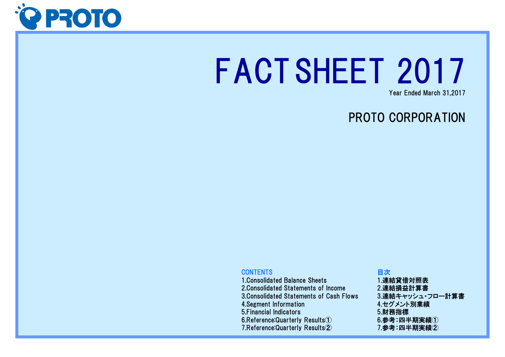

# FACTSHEET 2017Year Ended March 31,2017

## PROTO CORPORATION

### **CONTENTS**

 1.Consolidated Balance Sheets 2.Consolidated Statements of Income 3.Consolidated Statements of Cash Flows4.Segment Information 5.Financial Indicators6.Reference:Quarterly Results $\circled$ 7.Reference:Quarterly Results②

### 目次 1.連結貸借対照表 2.連結損益計算書 3.連結キャッシュ・フロー計算書4.セグメント別業績5.財務指標 $6.$ 参考:四半期実績 $\overline{10}$ 7.参考:四半期実績②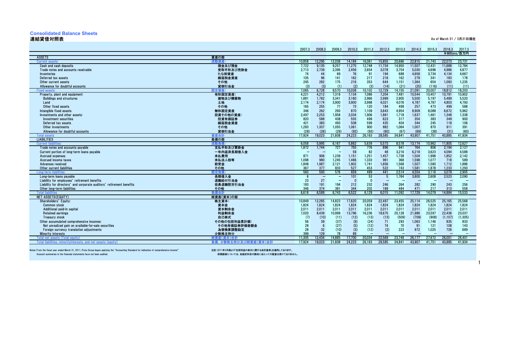### **Consolidated Balance Sheets**

### 連結貸借対照表

| 連結貸借対照表                                                                                          |                          |                                   |                          |                          |                  |                  |                          |                  |                  |                  |                  | As of March 31 / 3月31日現在 |
|--------------------------------------------------------------------------------------------------|--------------------------|-----------------------------------|--------------------------|--------------------------|------------------|------------------|--------------------------|------------------|------------------|------------------|------------------|--------------------------|
|                                                                                                  |                          |                                   |                          |                          |                  |                  |                          |                  |                  |                  |                  |                          |
|                                                                                                  |                          | 2007.3                            | 2008.3                   | 2009.3                   | 2010.3           | 2011.3           | 2012.3                   | 2013.3           | 2014.3           | 2015.3           | 2016.3           | 2017.3                   |
|                                                                                                  |                          |                                   |                          |                          |                  |                  |                          |                  |                  |                  |                  | ¥Millions/百万円            |
| <b>ASSETS</b>                                                                                    | 資産の部                     |                                   |                          |                          |                  |                  |                          |                  |                  |                  |                  |                          |
| <b>Current assets</b>                                                                            | 流動資産<br>現金及び預金           | 10.858                            | 12,295<br>9.135          | 12.038<br>9,257          | 14.184<br>11,275 | 16.061<br>12,748 | 15.855                   | 20.686<br>14,950 | 22.815<br>11,507 | 21.743<br>12,431 | 22,073<br>11.688 | 23.731<br>12,784         |
| Cash and cash deposits<br>Trade notes and accounts receivable                                    | 受取手形及び売掛金                | 7.722<br>2,713                    | 2.739                    | 2.395                    | 2,456            | 2,654            | 11.734<br>3.078          | 3,754            | 5,030            | 4.696            | 4.986            | 4,877                    |
| Inventories                                                                                      | たな卸資産                    | 74                                | 44                       | 69                       | 76               | 91               | 194                      | 688              | 4,658            | 3,734            | 4,134            | 4,667                    |
| Deferred tax assets                                                                              | 繰延税金資産                   | 105                               | 96                       | 141                      | 162              | 217              | 218                      | 162              | 279              | 341              | 183              | 178                      |
| Other current assets                                                                             | その他                      | 245                               | 282                      | 175                      | 216              | 353              | 644                      | 1,151            | 1,364            | 654              | 1,093            | 1,235                    |
| Allowance for doubtful accounts                                                                  | 貸倒引当金                    | (3)                               | (3)                      | (1)                      | (2)              | (3)              | (14)                     | (21)             | (25)             | (116)            | (11)             | (11)                     |
| <b>Fixed asset</b>                                                                               | 定資産:                     | 7.065                             | 6,728                    | 9.570                    | 10.038           | 10,102           | 12.729                   | 14.155           | 21,091           | 20,007           | 18.812           | 18.203                   |
| Property, plant and equipment:                                                                   | 有形固定資産:                  | 4,221                             | 4,212                    | 7,318                    | 7,134            | 7,086            | 7,204                    | 7,481            | 10,544           | 10.457           | 10,791           | 10,902                   |
| <b>Buildings and structures</b>                                                                  | 建物及び構築物                  | 1,881                             | 1,782                    | 3,341                    | 3,160            | 2,966            | 2,999                    | 2,905            | 5,500            | 5,197            | 5,489            | 5,520                    |
| Land                                                                                             | 土地                       | 2.174                             | 2.174                    | 3.900                    | 3,900            | 3,998            | 4.021                    | 4.076            | 4,787            | 4.787            | 4.803            | 4.793                    |
| Other fixed assets                                                                               | その他                      | 165                               | 255                      | 77                       | 73               | 120              | 184                      | 499              | 257              | 473              | 499              | 588                      |
| Intangible fixed assets                                                                          | 無形固定資産                   | 346                               | 262                      | 293                      | 870              | 1,109            | 3.643                    | 4,954            | 8,909            | 8.088            | 6,672            | 5,962                    |
| Investments and other assets:                                                                    | 投資その他の資産:                | 2.497                             | 2.253                    | 1.958                    | 2.034            | 1.906            | 1.881                    | 1.718            | 1.637            | 1.461            | 1.348            | 1.338                    |
| Investment securities                                                                            | 投資有価証券                   | 820                               | 588                      | 438                      | 555              | 499              | 623                      | 317              | 354              | 383              | 349              | 900                      |
| Deferred tax assets                                                                              | 繰延税金資産                   | 421                               | 383                      | 493                      | 508              | 599              | 435                      | 404              | 344              | 245              | 118              | 106                      |
| Other investments                                                                                | その他                      | 1.283                             | 1.307                    | 1.055                    | 1.061            | 900              | 882                      | 1.064            | 1.007            | 870              | 911              | 391                      |
| Allowance for doubtful accounts                                                                  | 貸倒引当金                    | (28)                              | (26)                     | (29)                     | (92)             | (93)             | (60)                     | (67)             | (69)             | (38)             | (31)             | (60)                     |
| Total asse                                                                                       | 産合計                      | 17.924                            | 19.023                   | 21.608                   | 24,223           | 26.163           | 28.585                   | 34.841           | 43.907           | 41.751           | 40.885           | 41.934                   |
| <b>LIABILITIES</b>                                                                               | 負債の部                     |                                   |                          |                          |                  |                  |                          |                  |                  |                  |                  |                          |
| Current                                                                                          | (動省f                     | 6.058                             | 5.995                    | 6.167                    | 5.862            | 5.639            | 5.573                    | 8.578            | 13.174           | 10.962           | 11.805           | 12.627                   |
| Trade notes and accounts pavable                                                                 | 支払手形及び買掛金<br>一年内返済長期借入金  | 1.872<br>$\overline{\phantom{0}}$ | 1.744                    | 727                      | 755<br>59        | 776<br>82        | 896<br>48                | 941<br>3,216     | 764<br>6,218     | 806<br>3,623     | 2.194<br>4,094   | 2,127<br>4,588           |
| Current portion of long-term loans payable<br><b>Accrued expenses</b>                            | 未払費用                     | 871                               | 906                      | 1.239                    | 1.151            | 1.251            | 1.457                    | 1.738            | 1.504            | 1.996            | 1.852            | 2.142                    |
| Accrued income taxes                                                                             | 未払法人税等                   | 1,098                             | 980                      | 1.245                    | 1.466            | 1,333            | 991                      | 368              | 1.598            | 1.077            | 718              | 589                      |
| Advances received                                                                                | 前受金                      | 1.848                             | 1,987                    | 2,121                    | 1,902            | 1,741            | 1,656                    | 1,568            | 1,507            | 1,580            | 1,712            | 1,886                    |
| Other current liabilities                                                                        | その他                      | 367                               | 377                      | 833                      | 527              | 453              | 522                      | 743              | 1,581            | 1.878            | 1,233            | 1,293                    |
| Long-term liab                                                                                   | 宝台                       | 560                               | 593                      | 576                      | 659              | 489              | 441                      | 2.514            | 4.554            | 3.116            | 3.079            | 2.905                    |
| Long-term loans payable                                                                          | 長期借入金                    | -6                                | $\overline{\phantom{0}}$ | $\overline{\phantom{0}}$ | 101              | 53               | -5                       | 1,764            | 3.800            | 2.608            | 2,523            | 2,090                    |
| Liability for employees' retirement benefits                                                     | 退職給付引当金                  | 23                                | 27                       | $\overline{\phantom{m}}$ | $\mathbf{0}$     | $\Omega$         | $\overline{\phantom{0}}$ |                  |                  |                  |                  |                          |
| Liability for directors' and corporate auditors' retirement benefits                             | 役員退職慰労引当金                | 183                               | 191                      | 194                      | 212              | 232              | 246                      | 264              | 282              | 290              | 243              | 256                      |
| Other long-term liabilities                                                                      | その他                      | 346                               | 374                      | 381                      | 344              | 202              | 189                      | 484              | 471              | 217              | 313              | 558                      |
| <b>Total lig</b>                                                                                 | 負債合計                     | 6.618                             | 6,589                    | 6.743                    | 6,522            | 6.129            | 6.015                    | 11,092           | 17.729           | 14.079           | 14.884           | 15,533                   |
| NET ASSETS(EQUITY)                                                                               | 純資産(資本)の部                |                                   |                          |                          |                  |                  |                          |                  |                  |                  |                  |                          |
| Shareholders' Equity:                                                                            | 株主資本:                    | 10.849                            | 12,265                   | 14.823                   | 17.620           | 20,059           | 22.497                   | 23.455           | 25,114           | 26.525           | 25,165           | 25,568                   |
| <b>Common stock</b>                                                                              | 資本金                      | 1,824                             | 1,824                    | 1,824                    | 1,824            | 1,824            | 1,824                    | 1,824            | 1,824            | 1,824            | 1,824            | 1,824                    |
| Additional paid-in capital                                                                       | 資本剰余金                    | 2.011                             | 2.011                    | 2.011                    | 2.011            | 2.011            | 2.011                    | 2.011            | 2.011            | 2.011            | 2.011            | 2.011                    |
| <b>Retained earnings</b>                                                                         | 利益剰余金                    | 7,020                             | 8,439                    | 10,999                   | 13,796           | 16,236           | 18,675                   | 20,128           | 21,986           | 23,597           | 22,436           | 23,037                   |
| <b>Treasury stock</b>                                                                            | 自己株式                     | (7)<br>56                         | (10)                     | (11)<br>(37)             | (12)             | (13)<br>(24)     | (13)                     | (509)            | (709)<br>1,063   | (908)<br>1.146   | (1, 107)<br>835  | (1, 305)                 |
| Other accumulated comprehensive incomes:                                                         | その他の包括利益累計額:             | 28                                | 39<br>- 6                | (27)                     | (9)<br>(5)       |                  | 71<br>74                 | 293<br>70        | 91               | 121              | 108              | 833<br>143               |
| Net unrealized gain on available-for-sale securities<br>Foreign currency translation adjustments | その他有価証券評価差額金<br>為替換算調整勘定 | 28                                | 32                       | (10)                     | (3)              | (12)<br>(12)     | (2)                      | 223              | 972              | 1,025            | 726              | 689                      |
| <b>Minority interests</b>                                                                        | 少数株主持分                   | 399                               | 129                      | 78                       | 89               |                  |                          |                  |                  |                  |                  |                          |
| Total net assets (Total equity)                                                                  | 産(資本)合計                  | 11.305                            | 12.434                   | 14,865                   | 17.700           | 20.034           | 22,569                   | 23.748           | 26.177           | 27.672           | 26.001           | 26.401                   |
| Total liabilities, minority interests, and net assats (equity)                                   | 負債、少数株主持分及び純資産(資本)合計     | 17.924                            | 19.023                   | 21.608                   | 24.223           | 26.163           | 28.585                   | 34.841           | 43.907           | 41.751           | 40.885           | 41.934                   |
|                                                                                                  |                          |                                   |                          |                          |                  |                  |                          |                  |                  |                  |                  |                          |

Notes: From the fiscal year ended March 31, 2011, Proto Group began applying the "Accounting Standard for indication of comprehensive income". 注記:2011年3月期より包括利益の表示に関する会計基準」を適用しております。<br>Account summaries i

財務諸表については、各勘定科目の要約に当たっての監査は受けておりません。

1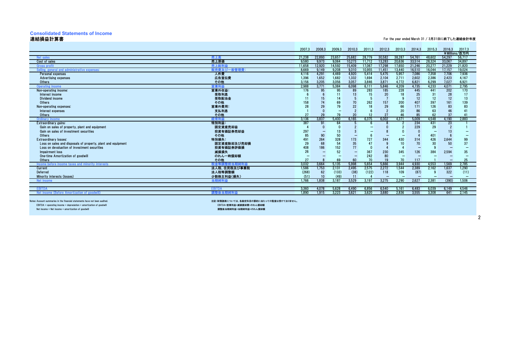### **Consolidated Statements of Income**

### 連結損益計算書

| 連結損益計算書                                                      |               |        |        |                                |                      |        |                      |          |          |                          |          | For the year ended March 31 / 3月31日に終了した連結会計年度 |
|--------------------------------------------------------------|---------------|--------|--------|--------------------------------|----------------------|--------|----------------------|----------|----------|--------------------------|----------|------------------------------------------------|
|                                                              |               |        |        |                                |                      |        |                      |          |          |                          |          |                                                |
|                                                              |               | 2007.3 | 2008.3 | 2009.3                         | 2010.3               | 2011.3 | 2012.3               | 2013.3   | 2014.3   | 2015.3                   | 2016.3   | 2017.3                                         |
|                                                              |               |        |        |                                |                      |        |                      |          |          |                          |          | ¥Millions/百万円                                  |
| Net sales                                                    | 売上高           | 21.238 | 22.893 | 23,657                         | 25,682               | 28,779 | 30,582               | 38.287   | 54.761   | 48.602                   | 54.297   | 56,717                                         |
| Cost of sales                                                | 売上原価          | 9.580  | 9.973  | 9.064                          | 10.273               | 11.712 | 13.283               | 20.636   | 33.514   | 28,324                   | 33.067   | 34,897                                         |
| <b>Gross profit</b>                                          | 売上総利布         | 11,658 | 12.920 | 14,592                         | 15,409               | 17.067 | 17,298               | 17,650   | 21.246   | 20,277                   | 21.229   | 21,820                                         |
| Selling, general and administrative expenses                 | 販売費及び一般管理費:   | 8.669  | 9.149  | 9.208                          | 9.310                | 10.955 | 11.451               | 13.440   | 16.510   | 16.044                   | 17.157   | 19.024                                         |
| Personal expenses                                            | 人件費           | 4,116  | 4,291  | 4,469                          | 4,920                | 5,414  | 5,475                | 5,957    | 7,086    | 7,358                    | 7,706    | 7,936                                          |
| <b>Advertising expenses</b>                                  | 広告宣伝費         | 1,396  | 1,652  | 1,682                          | 1,332                | 1.694  | 2,104                | 2.711    | 2,602    | 2,386                    | 2,423    | 4,167                                          |
| Others                                                       | その他           | 3.156  | 3.205  | 3,056                          | 3,057                | 3,846  | 3,871                | 4.772    | 6,821    | 6,299                    | 7.027    | 6,921                                          |
| <b>Operating income</b>                                      | <b>*業利益</b>   | 2.988  | 3.771  | 5.384                          | 6.098                | 6.111  | 5.846                | 4.209    | 4.735    | 4.233                    | 4.071    | 2.795                                          |
| Non-operating income:                                        | 営業外収益:        | 176    | 95     | 95                             | 89                   | 283    | 185                  | 228      | 445      | 441                      | 202      | 170                                            |
| Interest income                                              | 受取利息          |        |        | 11                             | 13                   | 15     | 20                   | 18       | 25       | 31                       | 28       | 17                                             |
| Dividend income                                              | 受取配当金         | 11     | 15     | 14                             |                      |        |                      |          | 12       | 12                       | 12       | 13                                             |
| Others                                                       | その他           | 158    | 74     | 69                             | 70                   | 262    | 157                  | 200      | 407      | 397                      | 161      | 139                                            |
| Non-operating expenses:                                      | 営業外費用:        | 28     | 29     | 79                             | 22                   | 18     | 29                   | 66       | 171      | 126                      | 83       | 83                                             |
| Interest expenses                                            | 支払利息<br>その他   | 27     | 29     | $\overline{\phantom{0}}$<br>79 | $\overline{2}$<br>20 | 12     | $\overline{2}$<br>27 | 20<br>46 | 86<br>85 | 63<br>62                 | 46<br>37 | 41                                             |
| Others<br>Ordinary income                                    | 圣常利益          | 3.136  | 3.837  | 5.400                          | 6.165                | 6.375  | 6.002                | 4.371    | 5.009    | 4.548                    | 4.190    | 2.883                                          |
| Extraordinary gains:                                         | 特別利益:         | 387    | 91     | 64                             |                      |        |                      |          | 234      | 431                      | 23       |                                                |
| Gain on sales of property, plant and equipment               | 固定資産売却益       |        |        |                                |                      |        |                      |          | 229      | 29                       |          |                                                |
| Gain on sales of investment securities                       | 投資有価証券売却益     | 297    |        | 13                             |                      |        |                      |          |          |                          | 13       |                                                |
| Others                                                       | その他           | 85     | 90     | 50                             |                      |        |                      |          |          | 401                      |          |                                                |
| <b>Extraordinary losses:</b>                                 | 特別損失:         | 491    | 264    | 328                            | 173                  | 727    | 344                  | 430      | 314      | 426                      | 2,644    | 99                                             |
| Loss on sales and disposals of property, plant and equipment | 固定資産除却及び売却損   | 29     | 68     | 54                             | 35                   | 47     |                      | 10       | 70       | 30                       | 50       | 37                                             |
| Loss on devaluation of investment securities                 | 投資有価証券評価損     | 408    | 186    | 152                            | 77                   |        |                      |          |          | 9                        |          |                                                |
| Impairment loss                                              | 減損損失          | 26     |        | 52                             |                      | 367    | 230                  | 345      | 126      | 384                      | 2,594    | 35                                             |
| One-time Amortization of goodwill                            | のれん一時償却額      |        |        |                                | $\qquad \qquad -$    | 242    | 80                   |          |          |                          |          |                                                |
| Others                                                       | その他           | 27     |        | 69                             | 60                   | 70     | 19                   | 70       | 117      |                          | -        | 25                                             |
| Income before income taxes and minority interests            | 税金等調整前当期純利益   | 3.032  | 3.664  | 5,135                          | 5.998                | 5.654  | 5,666                | 3.944    | 4.930    | 4,553                    | 1.569    | 2,785                                          |
| Current                                                      | 法人税、住民税及び事業税  | 1,586  | 1.753  | 2,131                          | 2.495                | 2,575  | 2,272                | 1.544    | 2,389    | 2,162                    | 1.637    | 1,290                                          |
| Deferred                                                     | 法人税等調整額       | (268)  | 62     | (133)                          | (38)                 | (122)  | 118                  | 109      | (87)     |                          | 322      | (11)                                           |
| Minority interests (losses)                                  | 少数株主利益(損失)    | (51)   | 10     | (49)                           | 11                   |        | -                    | <b>-</b> |          | $\overline{\phantom{0}}$ | <b>-</b> |                                                |
| <b>Net income</b>                                            |               | 1.766  | 1.838  | 3.187                          | 3.529                | 3.197  | 3.275                | 2.290    | 2.627    | 2.381                    | (390)    | 1.506                                          |
|                                                              |               |        |        |                                |                      |        |                      |          |          |                          |          |                                                |
| <b>EBITDA</b>                                                | <b>EBITDA</b> | 3.360  | 4.078  | 5.628                          | 6.490                | 6.856  | 6.540                | 5.161    | 6.483    | 6.039                    | 6.149    | 4,546                                          |
| Net income (Before Amortization of goodwill                  | 調整後当期純利益      | 1.890  | 1.915  | 3.223                          | 3.621                | 3.620  | 3.680                | 2.836    | 3.555    | 3.308                    | 641      | 2.145                                          |
|                                                              |               |        |        |                                |                      |        |                      |          |          |                          |          |                                                |

Notes: Account summaries in the financial statements have not been audited.

 $N$ et income = Net income + amortization of goodwill

 注記:財務諸表については、各勘定科目の要約に当たっての監査は受けておりません。EBITDA = operating income + depreciation + amortization of goodwill EBITDA=営業利益+減価償却費+のれん償却額調整後当期純利益=当期純利益+のれん償却額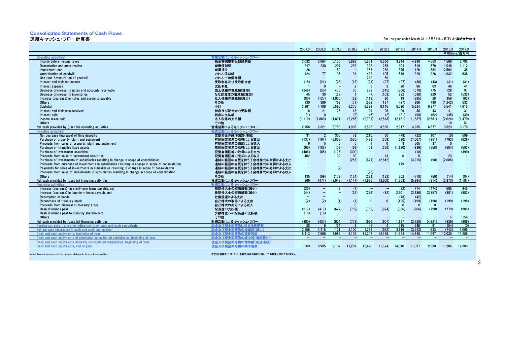### **Consolidated Statements of Cash Flows**

連結キャッシュ・フロー計算書

For the year ended March 31 / 3月31日に終了した連結会計年度

|                                                                                                                               |                                       | 2007.3                   | 2008.3                          | 2009.3                            | 2010.3                            | 2011.3                            | 2012.3                           | 2013.3                   | 2014.3                   | 2015.3   | 2016.3                            | 2017.3                   |
|-------------------------------------------------------------------------------------------------------------------------------|---------------------------------------|--------------------------|---------------------------------|-----------------------------------|-----------------------------------|-----------------------------------|----------------------------------|--------------------------|--------------------------|----------|-----------------------------------|--------------------------|
|                                                                                                                               |                                       |                          |                                 |                                   |                                   |                                   |                                  |                          |                          |          |                                   | ¥Millions/百万円            |
| <b>Operating activities</b>                                                                                                   | 営業活動によるキャッシュ・フロー:                     |                          |                                 |                                   |                                   |                                   |                                  |                          |                          |          |                                   |                          |
| Income before income taxes                                                                                                    | 税金等調整前当期純利益                           | 3.032                    | 3.664                           | 5.135                             | 5.998                             | 5,654                             | 5.666                            | 3.944                    | 4.930                    | 4,553    | 1.569                             | 2,785                    |
| Depreciation and amortization                                                                                                 | 減価償却費                                 | 247                      | 230                             | 207                               | 299                               | 322                               | 288                              | 404                      | 819                      | 879      | 1.046                             | 1.112                    |
| Impairment loss                                                                                                               | 减損損失                                  | 26                       | $\equiv$                        | 52                                | ц.                                | 367                               | 230                              | 345                      | 126                      | 384      | 2,594                             | 35                       |
| Amortization of goodwill                                                                                                      | のれん償却額                                | 124                      | 77                              | 36                                | 91                                | 422                               | 405                              | 546                      | 928                      | 926      | 1,032                             | 638                      |
| One-time Amortization of goodwill                                                                                             | のれん一時償却額                              |                          | $\overline{\phantom{0}}$        |                                   | $\overline{\phantom{0}}$          | 242                               | 80                               | $\overline{\phantom{a}}$ |                          |          |                                   |                          |
| Interest and dividend income                                                                                                  | 受取利息及び受取配当金                           | (18)                     | (21)                            | (25)                              | (18)                              | (21)                              | (27)                             | (27)                     | (38)                     | (43)     | (41)                              | (31)                     |
| Interest expense                                                                                                              | 支払利息                                  |                          | $\Omega$                        | $\sim$                            | $\overline{2}$                    | -6                                | $\overline{2}$                   | 20                       | 86                       | 63       | 46                                | 41                       |
| Decrease (increase) in notes and accounts receivable                                                                          | 売上債権の増減額(増加)                          | (248)                    | (50)                            | 470                               | 35                                | 232                               | (615)                            | (366)                    | (670)                    | 775      | 128                               | 97                       |
| Decrease (increase) in inventories                                                                                            | たな卸資産の増減額(増加)                         | 45                       | 30                              | (27)                              | $\overline{1}$                    | (7)                               | (103)                            | 232                      | (638)                    | 929      | 52                                | (532)                    |
| Increase (decrease) in notes and accounts pavable                                                                             | 仕入債務の増減額(減少)                          | (80)                     | (127)                           | (1.020)                           | (62)                              | (113)                             | 90                               | 18                       | (285)                    | 28       | 356                               | (63)                     |
| Others                                                                                                                        | その他                                   | 130                      | 386                             | 768                               | (71)                              | (522)                             | 127                              | (27)                     | 366                      | 780      | (1.242)                           | 532                      |
| Subtotal                                                                                                                      | 小計                                    | 3.261                    | 4.189                           | 5.596                             | 6,275                             | 6,582                             | 6.145                            | 5,090                    | 5.624                    | 9.277    | 5.541                             | 4.615                    |
| Interest and dividends received                                                                                               | 利息及び配当金の受取額                           | 18                       | 21                              | 25                                | 18                                | 21                                | 26                               | 29                       | 38                       | 43       | 41                                | 31                       |
| Interest paid                                                                                                                 | 利息の支払額                                | (1)                      | $\Omega$                        | $\sim$                            | (2)                               | (6)                               | (2)                              | (21)                     | (90)                     | (62)     | (45)                              | (39)                     |
| Income taxes paid                                                                                                             | 法人税等の支払額                              | (1, 119)                 | (1,889)                         | (1, 871)                          | (2,286)                           | (2,701)                           | (2,613)                          | (2,181)                  | (1, 337)                 | (2,681)  | (2,024)                           | (1, 479)                 |
| <b>Others</b>                                                                                                                 | その他                                   |                          |                                 |                                   |                                   |                                   |                                  |                          |                          |          | 10                                | 51                       |
| Net cash provided by (used in) operating activities                                                                           | 営業活動によるキャッシュ・フロー                      | 2.158                    | 2,321                           | 3,750                             | 4.005                             | 3.896                             | 3,556                            | 2.917                    | 4.235                    | 6,577    | 3.523                             | 3.179                    |
| nvesting activi                                                                                                               | 投資活動によるキャッシュ・フロー                      |                          |                                 |                                   |                                   |                                   |                                  |                          |                          |          |                                   |                          |
| Net decrease (increase) of time deposits                                                                                      | 定期預金の純増減額(増加)                         | $\overline{31}$          | $\overline{2}$                  | 300                               | 79                                | (210)                             | 60                               | (78)                     | (22)                     | 107      | (0)                               | 599                      |
| Purchase of property, plant and equipment                                                                                     | 有形固定資産の取得による支出                        | (137)                    | (194)                           | (2,852)                           | (535)                             | (438)                             | (359)                            | (690)                    | (1,067)                  | (351)    | (792)                             | (628)                    |
| Proceeds from sales of property, plant and equipment                                                                          | 有形固定資産の売却による収入                        | g                        |                                 | $\Omega$                          | -5                                |                                   | $\Omega$                         | -3                       | 565                      | 37       | $\mathbf{0}$                      |                          |
| Purchase of intangible fixed assets                                                                                           | 無形固定資産の取得による支出                        | (65)                     | (103)                           | (78)                              | (69)                              | (58)                              | (356)                            | (1, 120)                 | (839)                    | (558)    | (504)                             | (593)                    |
| Purchase of investment securities                                                                                             | 投資有価証券の取得による支出                        | (406)                    | (85)                            | (175)                             | (300)                             | $\qquad \qquad -$                 |                                  |                          | (10)                     |          |                                   | (499)                    |
| Proceeds from sales of investment securities                                                                                  | 投資有価証券の売却による収入                        | 402                      | $\qquad \qquad -$               | 32                                | 90                                | $\overline{\phantom{0}}$          | 14                               | $\Omega$                 | -5                       | $\sim$   | 23                                |                          |
| Purchase of investments in subsidiaries resulting in change in scope of consolidation                                         | 連結の範囲の変更を伴う子会社株式の取得による支出              |                          | $\overline{\phantom{0}}$        | $\overline{\phantom{m}}$          | (258)                             | (621)                             | (2,842)                          | $\qquad \qquad -$        | (3,215)                  | (90)     | (2,085)                           |                          |
| Proceeds from purchase of investments in subsidiaries resulting in change in scope of consolidation                           | 連結の範囲の変更を伴う子会社株式の取得による収入              | $\overline{\phantom{0}}$ | $\overline{\phantom{0}}$        |                                   | $\overline{\phantom{0}}$          |                                   |                                  | 479                      |                          |          | -                                 |                          |
| Payments for sales of investments in subsidiaries resulting in change in scope of consolidation                               | 連結の範囲の変更を伴う子会社株式の売却による支出              |                          | $\overline{\phantom{0}}$        | (2)                               |                                   |                                   |                                  | $\qquad \qquad$          |                          |          |                                   |                          |
| Proceeds from sales of investments in subsidiaries resulting in change in scope of consolidation                              | 連結の範囲の変更を伴う子会社株式の売却による収入              | $\qquad \qquad -$        | $\qquad \qquad -$               | $\overline{\phantom{m}}$          | $\overline{\phantom{0}}$          | (73)                              | $\overline{\phantom{0}}$         |                          | $\overline{\phantom{0}}$ |          |                                   |                          |
| Others                                                                                                                        | その他                                   | 435                      | (99)                            | (173)                             | (154)                             | (224)                             | (122)                            | 202                      | (710)                    | (56)     | (14)                              | (84)                     |
| Net cash provided by (used in) investing activities                                                                           | 投資活動によるキャッシュ・フロー                      | 269                      | (474)                           | (2.949)                           | (1.141)                           | (1,625)                           | (3.606)                          | (1.203)                  | (5, 294)                 | (914)    | (3.373)                           | (1.197)                  |
| Financing activities:                                                                                                         | 財務活動によるキャッシュ・フロー<br>短期借入金の純増減額(減少)    |                          |                                 |                                   |                                   |                                   |                                  |                          | 774                      |          | 505                               | 945                      |
| Increase (decrease) in short-term loans payable, net                                                                          |                                       | (20)                     | -                               |                                   | (7)                               |                                   | $\overline{\phantom{0}}$         | (2)                      |                          | (474)    |                                   |                          |
| Increase (decrease) in long-term loans payable, net                                                                           | 長期借入金の純増減額(減少)                        | (44)                     | $\qquad \qquad -$               |                                   | (32)                              | (236)                             | (82)<br>$\overline{\phantom{0}}$ | 2,601                    | (2, 486)<br>(42)         | (3, 357) | (381)                             | (883)                    |
| <b>Redemption of bonds</b>                                                                                                    | 社債償還による支出                             |                          |                                 |                                   | (1)                               | $\Omega$                          | $\Omega$                         | (78)<br>(495)            | (199)                    | (198)    |                                   | (198)                    |
| Repurchase of treasury stock<br>Proceeds from disposal of treasury stock                                                      | 自己株式の取得による支出                          | (2)                      | (2)<br>$\overline{\phantom{0}}$ | (1)<br>$\Omega$                   | $\Omega$                          |                                   |                                  | $\Omega$                 | $\Omega$                 | $\Omega$ | (199)<br>$\overline{\phantom{0}}$ |                          |
|                                                                                                                               | 自己株式の処分による収入                          |                          | (417)                           |                                   |                                   |                                   |                                  |                          |                          |          |                                   |                          |
| Cash dividends paid                                                                                                           | 配当金の支払額                               | (217)<br>(15)            | (16)                            | (627)<br>$\overline{\phantom{0}}$ | (732)<br>$\overline{\phantom{0}}$ | (759)<br>$\overline{\phantom{0}}$ | (824)                            | (836)                    | (766)                    | (790)    | (770)                             | (905)                    |
| Cash dividends paid to minority shareholders<br>Others                                                                        | 少数株主への配当金の支払額<br>その他                  |                          |                                 |                                   |                                   | $\overline{\phantom{0}}$          |                                  |                          |                          |          | 5                                 | 156                      |
|                                                                                                                               |                                       | (300)                    | (437)                           |                                   | (773)                             | (996)                             | (907)                            | 1.187                    | (2,720)                  | (4,821)  | (839)                             | (886)                    |
| Net cash provided by (used in) financing activities                                                                           | 財務活動によるキャッシュ・フロー<br>現金及び田<br>カニニ係る塩質き | 28                       |                                 | (624)<br>(54)                     |                                   | (5)                               |                                  | 215                      | 236                      | 91       | (54)                              | (0)                      |
| Foreign currency translation adjustments on cash and cash equivalents<br>Net increase (decrease) in cash and cash equivalents | 現金及び現金<br>司等物の増減額(減少)                 | 2.156                    | 1.415                           | 121                               | 2.100                             | 1.269                             | (952)                            | 3.116                    | (3.543)                  | 933      | (743)                             | 1.096                    |
| ng of vear<br>equivalents her                                                                                                 | πの隼                                   | 5.413                    | 7.569                           | 8.985                             | 9.107                             | 11.207                            | 12.476                           | 11.524                   | 14.640                   | 11.097   | 12.030                            | 11.286                   |
| nated cor<br>ents of                                                                                                          | 現金 及び                                 | $\overline{\phantom{a}}$ | $\qquad \qquad -$               | $\qquad \qquad -$                 | $\overline{\phantom{m}}$          | $\qquad \qquad -$                 | $\overline{\phantom{0}}$         | $\qquad \qquad -$        | $\overline{\phantom{m}}$ |          | $\overline{\phantom{m}}$          | $\overline{\phantom{m}}$ |
| Cash and cash equivalents of newly consolidated subsidiaries, beginn<br>ing of vear                                           | 現金及び現金<br>司等物の増加<br>1(新規連結            | $\sim$                   | $\equiv$                        | $\overline{\phantom{a}}$          |                                   |                                   |                                  |                          |                          |          |                                   |                          |
| Cash and cash equivalents, end of year                                                                                        | 現金及び現金同等物の期末残高                        | 7.569                    | 8.985                           | 9.107                             | 11.207                            | 12.476                            | 11.524                           | 14.640                   | 11.097                   | 12.030   | 11.286                            | 12.383                   |
|                                                                                                                               |                                       |                          |                                 |                                   |                                   |                                   |                                  |                          |                          |          |                                   |                          |

Notes: Account summaries in the financial statements have not been audited.

注記:財務諸表については、各勘定科目の要約に当たっての監査は受けておりません。

3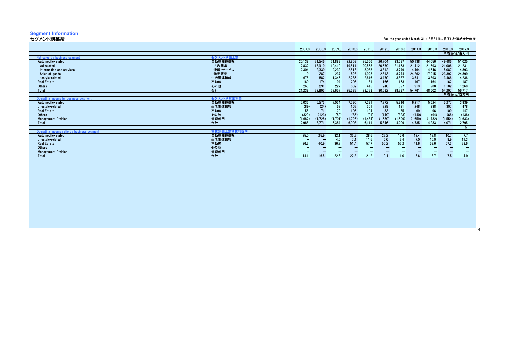### **Segment Information** セグメント別業績

| セグメント別業績                                   |             | For the year ended March 31 / 3月31日に終了した連結会計年度 |         |         |         |          |          |          |         |          |          |               |
|--------------------------------------------|-------------|------------------------------------------------|---------|---------|---------|----------|----------|----------|---------|----------|----------|---------------|
|                                            |             | 2007.3                                         | 2008.3  | 2009.3  | 2010.3  | 2011.3   | 2012.3   | 2013.3   | 2014.3  | 2015.3   | 2016.3   | 2017.3        |
|                                            |             |                                                |         |         |         |          |          |          |         |          |          | ¥Millions/百万円 |
| Net sales by business segment              | セグメント別売上高   |                                                |         |         |         |          |          |          |         |          |          |               |
| Automobile-related                         | 自動車関連情報     | 20,138                                         | 21,546  | 21,889  | 22,858  | 25,566   | 26,704   | 33.687   | 50,138  | 44.056   | 49,486   | 51,025        |
| Ad-related                                 | 広告関連        | 17,832                                         | 18,919  | 19,419  | 19,511  | 20,558   | 20,579   | 21,163   | 21,412  | 21,593   | 21,006   | 21,231        |
| Information and services                   | 情報・サービス     | 2,304                                          | 2,339   | 2,232   | 2,818   | 3,083    | 3,312    | 3,749    | 4.464   | 4,546    | 5,087    | 4,893         |
| Sales of goods                             | 物品販売        |                                                | 287     | 237     | 528     | 1,923    | 2,813    | 8,774    | 24,262  | 17,915   | 23,392   | 24,899        |
| Lifestyle-related                          | 生活関連情報      | 675                                            | 882     | 1,345   | 2,286   | 2,616    | 3,470    | 3,837    | 3,541   | 3,393    | 3,466    | 4,236         |
| <b>Real Estate</b>                         | 不動産         | 160                                            | 174     | 194     | 205     | 181      | 166      | 163      | 167     | 164      | 162      | 187           |
| Others                                     | その他         | 263                                            | 291     | 227     | 332     | 415      | 240      | 597      | 913     | 988      | 1.182    | 1,268         |
| <b>Total</b>                               | 合計          | 21,238                                         | 22,893  | 23,657  | 25,682  | 28,779   | 30,582   | 38,287   | 54,761  | 48.602   | 54,297   | 56,717        |
|                                            |             |                                                |         |         |         |          |          |          |         |          |          | ¥Millions/百万円 |
| Operating income by business segment       | セグメント別営業利益  |                                                |         |         |         |          |          |          |         |          |          |               |
| Automobile-related                         | 自動車関連情報     | 5,036                                          | 5.573   | 7,034   | 7,590   | 7,281    | 7,272    | 5,916    | 6,217   | 5,624    | 5.277    | 3,939         |
| Lifestyle-related                          | 生活関連情報      | (89)                                           | (24)    | 62      | 162     | 301      | 228      | 131      | 248     | 338      | 307      | 478           |
| <b>Real Estate</b>                         | 不動産         |                                                |         | 70      | 105     | 104      | 83       | 85       | 69      | 96       | 109      | 147           |
| Others                                     | その他         | (329)                                          | (123)   | (80)    | (35)    | (91)     | (149)    | (323)    | (140)   | (94)     | (66)     | (136)         |
| <b>Management Division</b>                 | 管理部門        | (1,687)                                        | (1,725) | (1.701) | (1,725) | (1, 484) | (1, 589) | (1, 599) | (1,659) | (1, 732) | (1, 554) | (1,633)       |
| Total                                      | 合計          | 2.988                                          | 3.771   | 5.384   | 6.098   | 6.111    | 5.846    | 4.209    | 4.735   | 4.233    | 4.071    | 2,795         |
|                                            |             |                                                |         |         |         |          |          |          |         |          |          |               |
| Operating income ratio by business segment | 事業別売上高営業利益率 |                                                |         |         |         |          |          |          |         |          |          |               |
| Automobile-related                         | 自動車関連情報     | 25.0                                           | 25.9    | 32.1    | 33.2    | 28.5     | 27.2     | 17.6     | 12.4    | 12.8     | 10.7     |               |
| Lifestyle-related                          | 生活関連情報      |                                                |         | 4.6     | 7.1     | 11.5     | 6.6      | 3.4      | 7.0     | 10.0     | 8.9      | 11.3          |
| <b>Real Estate</b>                         | 不動産         | 36.3                                           | 40.9    | 36.2    | 51.4    | 57.7     | 50.2     | 52.2     | 41.6    | 58.6     | 67.3     | 78.6          |
| Others                                     | その他         |                                                |         |         |         |          |          |          |         |          |          |               |
| <b>Management Division</b>                 | 管理部門        |                                                |         |         |         |          |          |          |         |          |          |               |
| Total                                      | 合計          | 14.1                                           | 16.5    | 22.8    | 22.3    | 21.2     | 19.1     | 11.0     | 8.6     | 8.7      | 7.5      | 4.9           |
|                                            |             |                                                |         |         |         |          |          |          |         |          |          |               |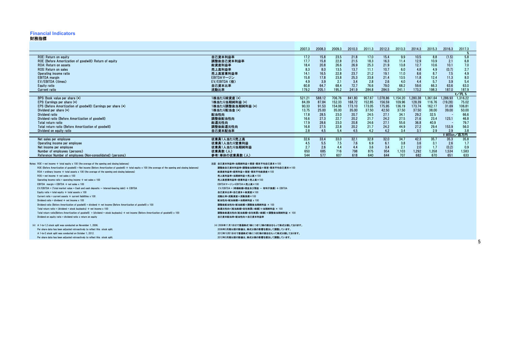#### **Financial Indicators**

#### 財務指標

|                                                                                                                                                             |                                                 | 2007.3 | 2008.3 | 2009.3 | 2010.3 | 2011.3 | 2012.3   | 2013.3   | 2014.3   | 2015.3   | 2016.3           | 2017.3              |  |
|-------------------------------------------------------------------------------------------------------------------------------------------------------------|-------------------------------------------------|--------|--------|--------|--------|--------|----------|----------|----------|----------|------------------|---------------------|--|
|                                                                                                                                                             |                                                 |        |        |        |        |        |          |          |          |          |                  |                     |  |
| ROE: Return on equity                                                                                                                                       | 自己資本利益率                                         | 17.2   | 15.8   | 23.5   | 21.8   | 17.0   | 15.4     | 9.9      | 10.5     | 8.8      | (1.5)            | 5.8                 |  |
| ROE (Before Amortization of goodwill): Return of equity                                                                                                     | 調整後自己資本利益率                                      | 17.7   | 15.8   | 22.8   | 21.5   | 18.3   | 16.3     | 11.4     | 12.9     | 10.9     | 2.1              | 6.8                 |  |
| ROA: Return on assets                                                                                                                                       | 総資産利益率                                          | 18.4   | 20.8   | 26.6   | 26.9   | 25.3   | 21.9     | 13.8     | 12.7     | 10.6     | 10.1             | 7.0                 |  |
| ROS: Return on sales                                                                                                                                        | 売上高利益率                                          | 8.3    | 8.0    | 13.5   | 13.7   | 11.1   | 10.7     | 6.0      | 4.8      | 4.9      | (0.7)            | 2.7                 |  |
| Operating income ratio                                                                                                                                      | 売上高営業利益率                                        | 14.1   | 16.5   | 22.8   | 23.7   | 21.2   | 19.1     | 11.0     | 8.6      | 8.7      | 7.5              | 4.9                 |  |
| <b>EBITDA</b> margin                                                                                                                                        | EBITDAマージン                                      | 15.8   | 17.8   | 23.8   | 25.3   | 23.8   | 21.4     | 13.5     | 11.8     | 12.4     | 11.3             | 8.0                 |  |
| EV/EBITDA (times)                                                                                                                                           | EV/EBITDA (倍)                                   | 4.9    | 3.9    | 2.1    | 3.4    | 2.8    | 2.6      | 4.0      | 4.4      | 5.7      | 3.9              | 5.4                 |  |
| Equity ratio                                                                                                                                                | 自己資本比率                                          | 60.8   | 64.7   | 68.4   | 72.7   | 76.6   | 79.0     | 68.2     | 59.6     | 66.3     | 63.6             | 63.0                |  |
| <b>Current ratio</b>                                                                                                                                        | 流動比率                                            | 179.2  | 205.1  | 195.2  | 241.9  | 284.8  | 284.5    | 241.1    | 173.2    | 198.3    | 187.0            | 187.9               |  |
|                                                                                                                                                             |                                                 |        |        |        |        |        |          |          |          |          |                  | $\frac{2}{7}$ /円. % |  |
| BPS: Book value per share (*)                                                                                                                               | 1株当たり純資産 (*)                                    | 521.21 | 588.12 | 706.76 | 841.80 | 957.67 | 1.078.86 | 1.154.20 | 1.280.38 | 1.361.64 | 1.286.93         | 1.316.22            |  |
| EPS: Earnings per share (*)                                                                                                                                 | 1株当たり当期純利益 (*)                                  | 84.39  | 87.84  | 152.33 | 168.72 | 152.85 | 156.59   | 109.96   | 128.39   | 116.76   | (19.28)          | 75.02               |  |
| EPS (Before Amortization of goodwill): Earnings per share (*)                                                                                               | 1株当たり調整後当期純利益 (*)                               | 90.33  | 91.53  | 154.06 | 173.10 | 173.05 | 175.95   | 136.19   | 173.74   | 162.17   | 31.69            | 106.81              |  |
| Dividend per share $(*)$                                                                                                                                    | 1株当たり配当金 (*)                                    | 13.75  | 25.00  | 35.00  | 35.00  | 37.50  | 42.50    | 37.50    | 37.50    | 38.00    | 39.00            | 50.00               |  |
| Dividend ratio                                                                                                                                              | 配当性向                                            | 17.8   | 28.5   | 23.0   | 20.7   | 24.5   | 27.1     | 34.1     | 29.2     | 32.5     |                  | 66.6                |  |
| Dividend ratio (Before Amortization of goodwill)                                                                                                            | 調整後配当性向                                         | 16.6   | 27.3   | 22.7   | 20.2   | 21.7   | 24.2     | 27.5     | 21.6     | 23.4     | 123.1            | 46.8                |  |
| Total return ratio                                                                                                                                          | 総還元性向                                           | 17.9   | 28.6   | 23.0   | 20.8   | 24.6   | 27.1     | 55.6     | 36.8     | 40.9     | ٠.               | 79.7                |  |
| Total return ratio (Before Amortization of goodwill)                                                                                                        | 調整後総還元性向                                        | 16.8   | 27.5   | 22.8   | 20.2   | 21.7   | 24.2     | 44.9     | 27.2     | 29.4     | 153.9            | 56.0                |  |
| Dividend on equity ratio                                                                                                                                    | 自己資本配当率                                         | 2.8    | 4.5    | 5.4    | 4.5    | 4.2    | 4.2      | 3.4      | 3.1      | 2.9      | 2.9<br>¥ Million | 3.8<br>有方円          |  |
| Net sales per employee                                                                                                                                      | 従業員1人当たり売上高                                     | 32.6   | 33.4   | 33.0   | 32.1   | 32.8   | 32.0     | 34.7     | 42.3     | 35.7     | 35.3             | 35.8                |  |
| Operating income per employee                                                                                                                               | 従業員1人当たり営業利益                                    | 4.5    | 5.5    | 7.5    | 7.6    | 6.9    | 6.1      | 3.8      | 3.6      | 3.1      | 2.6              | 1.7                 |  |
| Net income per employee                                                                                                                                     | 従業員1人当たり当期純利益                                   | 2.7    | 2.6    | 4.4    | 4.4    | 3.6    | 3.4      | 2.1      | 2.0      | 1.7      | (0.2)            | 0.9                 |  |
| Number of employees (persons)                                                                                                                               | 従業員数(人)                                         | 650    | 685    | 716    | 798    | 875    | 954      | 1.103    | 1,292    | 1,358    | 1,534            | 1,583               |  |
| Reference: Number of employees (Non-consolidated) (persons)                                                                                                 | 参考:単体の従業員数(人)                                   | 544    | 577    | 607    | 618    | 640    | 644      | 707      | 682      | 670      | 651              | 633                 |  |
|                                                                                                                                                             |                                                 |        |        |        |        |        |          |          |          |          |                  |                     |  |
| Notes: $ROE = net income \div total equity x 100 (the average of the opening and closing balances)$                                                         | 注記 自己資本利益率=当期純利益÷期首·期末平均自己資本×100                |        |        |        |        |        |          |          |          |          |                  |                     |  |
| ROE (Before Amortization of goodwill) = Net income (Before Amortization of goodwill) ÷ total equity x 100 (the average of the opening and closing balances) | 調整後自己資本利益率=調整後当期純利益÷期首·期末平均自己資本×100             |        |        |        |        |        |          |          |          |          |                  |                     |  |
| $ROA =$ ordinary income $\div$ total assets x 100 (the average of the opening and closing balances)                                                         | 総資産利益率=経常利益÷期首·期末平均総資産×100                      |        |        |        |        |        |          |          |          |          |                  |                     |  |
| $ROS = net income \div net sales \times 100$                                                                                                                | 売上高利益率=当期純利益÷売上高×100                            |        |        |        |        |        |          |          |          |          |                  |                     |  |
| Operating income ratio = operating income $\div$ net sales x 100                                                                                            | 売上高営業利益率=営業利益÷売上高×100                           |        |        |        |        |        |          |          |          |          |                  |                     |  |
| EBITDA margin = EBITDA $\div$ net sales x 100                                                                                                               | EBITDAマージン=EBITDA÷売上高×100                       |        |        |        |        |        |          |          |          |          |                  |                     |  |
| EV/EBITDA = (Total market value + Cash and cash deposits $-$ Interest-bearing debt) $\div$ EBITDA                                                           | EV/EBITDA = (時価総額+現金及び預金 ー 有利子負債) ÷ EBITDA      |        |        |        |        |        |          |          |          |          |                  |                     |  |
| Equity ratio = total equity $\div$ total assets x 100                                                                                                       | 自己資本比率=自己資本÷総資産×100                             |        |        |        |        |        |          |          |          |          |                  |                     |  |
| Current ratio = current assets $\div$ current liabilities x 100                                                                                             | 流動比率=流動資産÷流動負債×100                              |        |        |        |        |        |          |          |          |          |                  |                     |  |
| Dividend ratio = dividend $\div$ net income x 100                                                                                                           | 配当性向=配当総額÷当期純利益 x 100                           |        |        |        |        |        |          |          |          |          |                  |                     |  |
| Dividend ratio (Before Amortization of goodwill) = dividend $\div$ net income (Before Amortization of goodwill) x 100                                       | 調整後配当性向=配当総額÷調整後当期純利益 × 100                     |        |        |        |        |        |          |          |          |          |                  |                     |  |
| Total return ratio = (dividend + stock buybacks) $\div$ net income x 100                                                                                    | 総還元性向=(配当総額+自社株買い総額)÷当期純利益 × 100                |        |        |        |        |        |          |          |          |          |                  |                     |  |
| Total return ratio(Before Amortization of goodwill) = (dividend + stock buybacks) ÷ net income (Before Amortization of goodwill) x 100                      | 調整後総還元性向(配当総額+自社株買い総額)÷調整後当期純利益 × 100           |        |        |        |        |        |          |          |          |          |                  |                     |  |
| Dividend on equity ratio = dividend ratio $x$ return on equity                                                                                              | 自己資本配当率=配当性向×自己資本利益率                            |        |        |        |        |        |          |          |          |          |                  |                     |  |
| (*) A 1-to-1.2 stock split was conducted on November 1, 2006.                                                                                               | (*) 2006年11月1日付で普通株式1株につき1.2株の割合をもって株式分割しております。 |        |        |        |        |        |          |          |          |          |                  |                     |  |
| Per share data has been adjusted retroactively to reflect this stock split.                                                                                 | 2006年3月期以前の数値は、株式分割の影響を遡及して調整しています。             |        |        |        |        |        |          |          |          |          |                  |                     |  |
| A 1-to-2 stock split was conducted on October 1, 2012.                                                                                                      | 2012年10月1日付で普通株式1株につき2株の割合をもって株式分割しております。       |        |        |        |        |        |          |          |          |          |                  |                     |  |
| Per share data has been adjusted retroactively to reflect this stock split.                                                                                 | 2012年3月期以前の数値は、株式分割の影響を遡及して調整しています。             |        |        |        |        |        |          |          |          |          |                  |                     |  |
|                                                                                                                                                             |                                                 |        |        |        |        |        |          |          |          |          |                  |                     |  |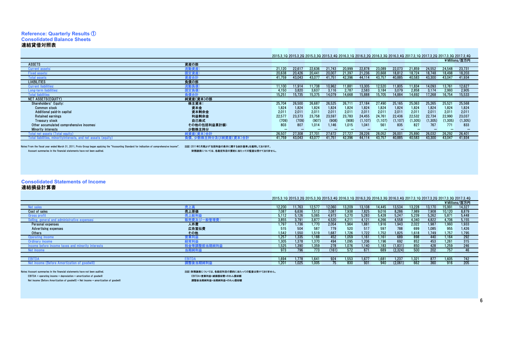### **Reference: Quarterly Results** ① **Consolidated Balance Sheets**連結貸借対照表 As of March 31 / 3月31日現在

2015.3\_1Q 2015.3\_2Q 2015.3\_3Q 2015.3\_4Q 2016.3\_1Q 2016.3\_2Q 2016.3\_3Q 2016.3\_4Q 2017.3\_1Q 2017.3\_2Q 2017.3\_3Q 2017.3\_4Q

|                                          |              |        |        |                 |                 |        |          |          |                 |          |          |          | ¥Millions/百万円 |
|------------------------------------------|--------------|--------|--------|-----------------|-----------------|--------|----------|----------|-----------------|----------|----------|----------|---------------|
| <b>ASSETS</b>                            | 資産の部         |        |        |                 |                 |        |          |          |                 |          |          |          |               |
| Current assets:                          |              | 21,120 | 22.61  | 22.636          |                 | 20.999 | 22,878   | 23.089   | 22.073          | 21.859   | 24.552   | 24548    | 23,731        |
| <b>Fixed assets:</b>                     | <b>『定資産:</b> | 20,638 | 20,426 | 20.441          | 20.00           | 21.39  | 21.236   | 20.668   | 18.812          | 18.724   | 18.748   | 18.498   | 18,203        |
| <b>Total assets</b>                      | 『産合言         | 41.759 | 43,043 | 43.077          | 41.75           | 42.396 | 44,114   | 43.75    | 40.885          | 40,583   | 43,300   | 43,047   | 41,934        |
| <b>LIABILITIES</b>                       | 負債の部         |        |        |                 |                 |        |          |          |                 |          |          |          |               |
| <b>Current liabilities:</b>              | 簡動負          | 11,100 | 11.914 | 11.738          | 10.962          | 11.881 | 13,305   | 12.520   | 11.805          | 11.834   | 14.093   | 13,761   | 12,627        |
| Long-term liabilities:                   |              | 4.150  | 3,820  | 3,637           | 3.116           | 2.78   | 2,583    | 3.184    | 3.079           | 2,858    | 3.174    | 2,993    | 2,905         |
| <b>Total liabilities</b>                 | ∍倩合言         | 15,25  | 15.735 | 15,375          | 14,079          | 14,668 | 15,888   | 15.705   | 14,884          | 14,692   | 17,268   | 16,754   | 15,533        |
| NET ASSETS(EQUITY)                       | 純資産(資本)の部    |        |        |                 |                 |        |          |          |                 |          |          |          |               |
| Shareholders' Equity:                    | 株主資本:        | 25,704 | 26.500 | 26.687          | 26.525          | 26.71  | 27,184   | 27.490   | 25.165          | 25.063   | 25.265   | 25.521   | 25,568        |
| <b>Common stock</b>                      | 資本金          | 1,824  | 1,824  | 1,824           | 1,824           | 1,824  | 1,824    | 1,824    | 1,824           | 1,824    | 1,824    | 1,824    | 1,824         |
| Additional paid-in capital               | 資本剰余金        | 2.011  | 2.011  | 2.011           | 2.011           | 2.011  | 2,011    | 2.011    | 2.011           | 2.011    | 2.011    | 2.011    | 2.011         |
| <b>Retained earnings</b>                 | 利益剰余金        | 22,57  | 23,373 | 23,758          | 23,597          | 23.783 | 24,455   | 24.761   | 22,436          | 22,532   | 22,734   | 22,990   | 23,037        |
| Treasury stock                           | 自己株式         | (709)  | (709)  | (907)           | (908)           | (908)  | (1, 107) | (1, 107) | (1.107)         | (1, 305) | (1, 305) | (1, 305) | (1,305)       |
| Other accumulated comprehensive incomes: | その他の包括利益累計額  | 803    | 807    | 1.014           | 1.146           | 1,015  | 1,041    | 561      | 835             | 827      | 767      | 771      | 833           |
| <b>Minority interests</b>                | 少数株主持分       |        |        |                 |                 |        |          |          |                 |          |          |          |               |
|                                          | 纯資産(資本)合計    | 26,507 | 27,308 | $27.70^{\circ}$ | 27672           | 27 72  | 28.226   | 28.052   | $26,00^{\circ}$ | 25,890   | 26.032   | 26.292   | 26,401        |
| and net assats (e                        |              | 41,759 | 43,043 | 43,077          | $41.75^{\circ}$ | 42.396 | 44,114   | 43.75    | 40,885          | 40,583   | 43,300   | 43,047   | 41,934        |
|                                          |              |        |        |                 |                 |        |          |          |                 |          |          |          |               |

Notes: From the fiscal year ended March 31, 2011, Proto Group began applying the "Accounting Standard for indication of comprehensive income". 注記:2011年3月期より包括為用より包括神益の表示に関する会計基準」を適用しております。<br>Account summaries in the financ

財務諸表については、各勘定科目の要約に当たっての監査は受けておりません。

**Consolidated Statements of Income** 連結損益計算書

### As of March 31 / 3月31日現在

|                                                        |                     | 2015.3 10 2015.3 20 2015.3 30 2015.3 40 2016.3 10 2016.3 20 2016.3 30 2016.3 40 2017.3 10 2017.3 20 2017.3 30 2017.3 40 |        |       |                 |        |        |        |         |        |        |        |               |
|--------------------------------------------------------|---------------------|-------------------------------------------------------------------------------------------------------------------------|--------|-------|-----------------|--------|--------|--------|---------|--------|--------|--------|---------------|
|                                                        |                     |                                                                                                                         |        |       |                 |        |        |        |         |        |        |        | ¥Millions/百万円 |
| Net sales                                              |                     | 12.200                                                                                                                  | 11.763 | 12.57 | 12.060          | 13.209 | 13.108 | 14.445 | 13.534  | 13.228 | 13.170 | 15.991 | 14,327        |
| Cost of sales                                          | 売上原価                | 7.087                                                                                                                   | 6.636  | 1.512 | 7.08            | 7.938  | 7.825  | 9.016  | 8.286   | 7.989  | 7.908  | 10.120 | 8,879         |
| Gross prof                                             | 売上総利益               | 5.112                                                                                                                   | 5.126  | 5.065 | 4.973           | 5.270  | 5.283  | 5.428  | 5.247   | 5.239  | 5.262  | 5.871  | 5,448         |
| Selling, general and administrative expenses:          |                     | 3,855                                                                                                                   | 3.791  | 3.877 | 4.520           | 4.211  | 4.121  | 4.266  | 4.558   | 4.340  | 4.822  | 4.706  | 5,155         |
| Personal expenses                                      | 人件費                 | 1.797                                                                                                                   | .736   | 1.770 | 2.054           | 1.964  | 1,881  | 1.916  | 1.943   | 2.022  | 1.987  | 1.993  | 1,933         |
| <b>Advertising expenses</b>                            | 広告宣伝費               | 515                                                                                                                     | 504    | 587   | 779             | 520    | 517    | 597    | 788     | 699    | 1.085  | 955    | 1,426         |
| Others                                                 | その他                 | 1.542                                                                                                                   | 1.550  | 1.519 | 1.687           | 1.726  | 1.722  | .752   | 1.825   | 1.618  | 1.749  | 1.757  | 1,795         |
| <b>Operating income</b>                                | ∡業利益                | 1.257                                                                                                                   | 1.335  | 1.188 | 452             | 1.059  | .161   | 161    | 689     | 898    | 440    | 1.164  | 292           |
| Ordinarv incom                                         | 保常利益                | 1.305                                                                                                                   | 1.378  | 1,370 | 494             | 1,095  | 1,206  | 196    | 692     | 852    | 453    | 1,261  | 315           |
| before income taxes and minority interests<br>Income t | <sub>≝即</sub> ヨ别經利益 | 1.525                                                                                                                   | .390   | 1.359 | 278             | 1.076  | 1.140  | 183    | (1,831) | 850    | 428    | 1,259  | 246           |
| <b>Net incom</b>                                       |                     | 973                                                                                                                     | 796    | 773   | (161)           | 572    | 671    | 689    | (2,324) | 500    | 202    | 757    | 46            |
|                                                        |                     |                                                                                                                         |        |       |                 |        |        |        |         |        |        |        |               |
| EBITD.                                                 |                     | 1.694                                                                                                                   | .778   | 1.641 | 924             | 1.553  | 1.677  | 1.681  | 1.237   | 1,321  | 877    | 1.605  | 742           |
| Amortization of goodwill                               |                     | 1.201                                                                                                                   | 1.025  | 1.005 | $\overline{15}$ | 830    | 931    | 940    | (2.061) | 662    | 360    | 916    | 205           |
|                                                        |                     |                                                                                                                         |        |       |                 |        |        |        |         |        |        |        |               |

Notes: Account summaries in the financial statements have not been audited.

注記:財務諸表については、各勘定科目の要約に当たっての監査は受けておりません。

Net income (Before Amortization of goodwill) = Net income + amortization of goodwill

EBITDA = operating income + depreciation + amortization of goodwill EBITDA=営業利益+減価償却費+のれん償却額

調整後当期純利益=当期純利益+のれん償却額